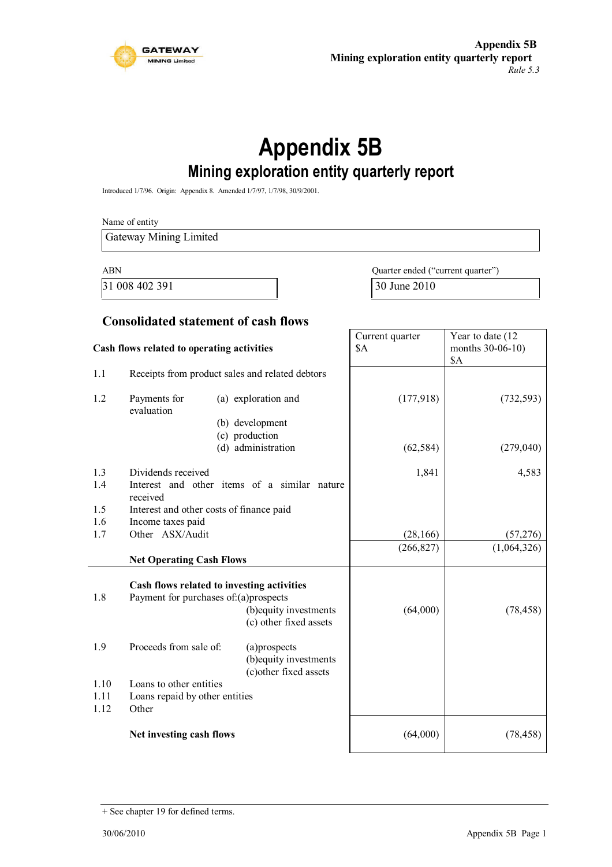

# **Appendix 5B Mining exploration entity quarterly report**

Introduced 1/7/96. Origin: Appendix 8. Amended 1/7/97, 1/7/98, 30/9/2001.

|                      | Name of entity                                                     |                                                                                                                                         |                                   |                         |  |
|----------------------|--------------------------------------------------------------------|-----------------------------------------------------------------------------------------------------------------------------------------|-----------------------------------|-------------------------|--|
|                      | <b>Gateway Mining Limited</b>                                      |                                                                                                                                         |                                   |                         |  |
| <b>ABN</b>           |                                                                    |                                                                                                                                         | Quarter ended ("current quarter") |                         |  |
|                      | 31 008 402 391                                                     |                                                                                                                                         | 30 June 2010                      |                         |  |
|                      |                                                                    |                                                                                                                                         |                                   |                         |  |
|                      |                                                                    | <b>Consolidated statement of cash flows</b>                                                                                             | Current quarter                   | Year to date (12        |  |
|                      | Cash flows related to operating activities                         |                                                                                                                                         | <b>\$A</b>                        | months 30-06-10)<br>\$A |  |
| 1.1                  |                                                                    | Receipts from product sales and related debtors                                                                                         |                                   |                         |  |
| 1.2                  | Payments for<br>evaluation                                         | (a) exploration and                                                                                                                     | (177,918)                         | (732, 593)              |  |
|                      |                                                                    | (b) development                                                                                                                         |                                   |                         |  |
|                      |                                                                    | (c) production<br>(d) administration                                                                                                    | (62, 584)                         | (279,040)               |  |
| 1.3<br>1.4           | Dividends received                                                 | Interest and other items of a similar nature                                                                                            | 1,841                             | 4,583                   |  |
| 1.5                  | received                                                           | Interest and other costs of finance paid                                                                                                |                                   |                         |  |
| 1.6                  | Income taxes paid                                                  |                                                                                                                                         |                                   |                         |  |
| 1.7                  | Other ASX/Audit                                                    |                                                                                                                                         | (28, 166)                         | (57, 276)               |  |
|                      | <b>Net Operating Cash Flows</b>                                    |                                                                                                                                         | (266, 827)                        | (1,064,326)             |  |
| 1.8                  |                                                                    | Cash flows related to investing activities<br>Payment for purchases of:(a)prospects<br>(b) equity investments<br>(c) other fixed assets | (64,000)                          | (78, 458)               |  |
| 1.9                  | Proceeds from sale of:                                             | (a)prospects<br>(b) equity investments<br>(c) other fixed assets                                                                        |                                   |                         |  |
| 1.10<br>1.11<br>1.12 | Loans to other entities<br>Loans repaid by other entities<br>Other |                                                                                                                                         |                                   |                         |  |
|                      | Net investing cash flows                                           |                                                                                                                                         | (64,000)                          | (78, 458)               |  |

<sup>+</sup> See chapter 19 for defined terms.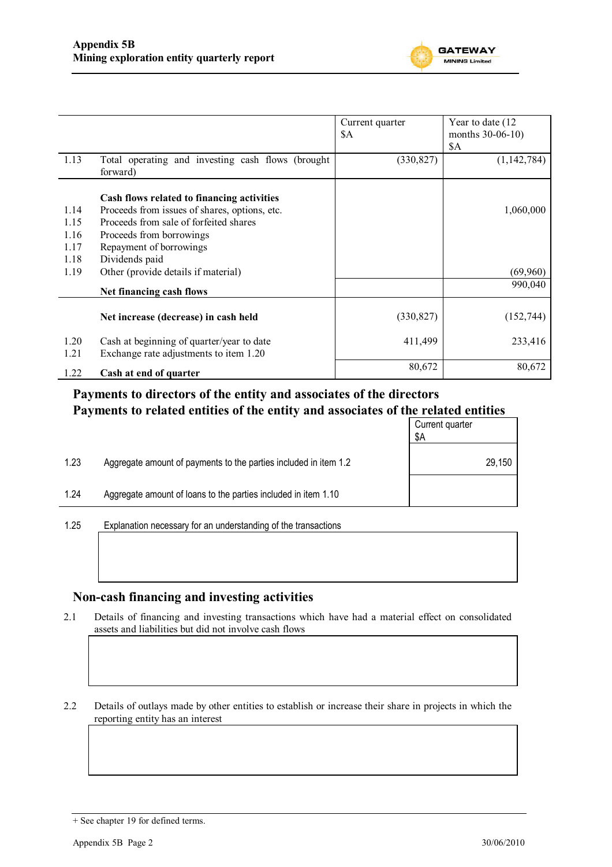

|              |                                                                                     | Current quarter<br>\$A | Year to date (12)<br>months 30-06-10) |
|--------------|-------------------------------------------------------------------------------------|------------------------|---------------------------------------|
|              |                                                                                     |                        | \$A                                   |
| 1.13         | Total operating and investing cash flows (brought)<br>forward)                      | (330, 827)             | (1, 142, 784)                         |
|              | Cash flows related to financing activities                                          |                        |                                       |
| 1.14         | Proceeds from issues of shares, options, etc.                                       |                        | 1,060,000                             |
| 1.15         | Proceeds from sale of forfeited shares                                              |                        |                                       |
| 1.16         | Proceeds from borrowings                                                            |                        |                                       |
| 1.17         | Repayment of borrowings                                                             |                        |                                       |
| 1.18         | Dividends paid                                                                      |                        |                                       |
| 1.19         | Other (provide details if material)                                                 |                        | (69,960)                              |
|              | Net financing cash flows                                                            |                        | 990,040                               |
|              | Net increase (decrease) in cash held                                                | (330, 827)             | (152, 744)                            |
| 1.20<br>1.21 | Cash at beginning of quarter/year to date<br>Exchange rate adjustments to item 1.20 | 411,499                | 233,416                               |
| 1.22         | Cash at end of quarter                                                              | 80,672                 | 80,672                                |

### **Payments to directors of the entity and associates of the directors Payments to related entities of the entity and associates of the related entities**

|                                                                          | Current quarter<br>\$Α |
|--------------------------------------------------------------------------|------------------------|
| 1.23<br>Aggregate amount of payments to the parties included in item 1.2 | 29,150                 |
| 1.24<br>Aggregate amount of loans to the parties included in item 1.10   |                        |

1.25 Explanation necessary for an understanding of the transactions

### **Non-cash financing and investing activities**

2.1 Details of financing and investing transactions which have had a material effect on consolidated assets and liabilities but did not involve cash flows

2.2 Details of outlays made by other entities to establish or increase their share in projects in which the reporting entity has an interest

<sup>+</sup> See chapter 19 for defined terms.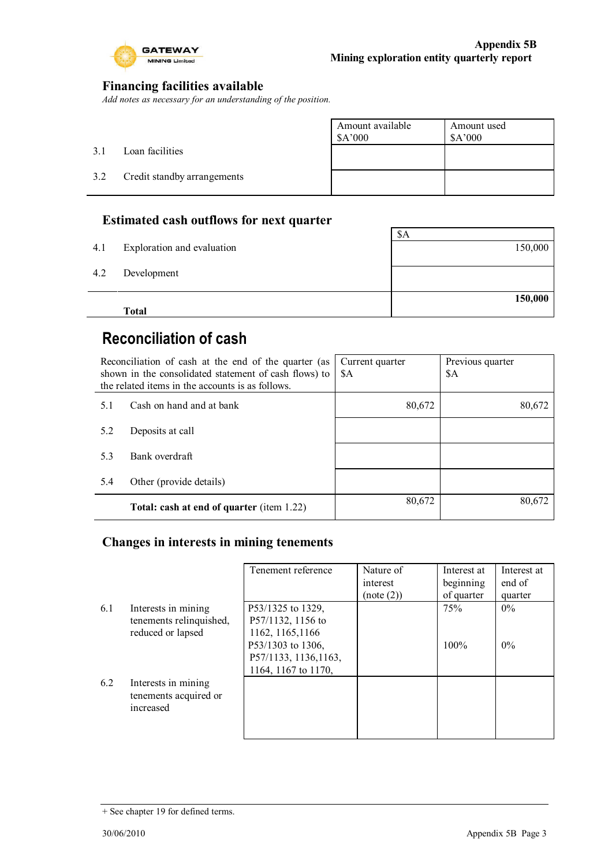

 $\overline{\phantom{a}}$ 

### **Financing facilities available**

*Add notes as necessary for an understanding of the position.*

|     |                             | Amount available<br>\$A'000 | Amount used<br>\$A'000 |
|-----|-----------------------------|-----------------------------|------------------------|
| 3.1 | Loan facilities             |                             |                        |
| 3.2 | Credit standby arrangements |                             |                        |
|     |                             |                             |                        |

### **Estimated cash outflows for next quarter**

|     | <b>Total</b>               | 150,000 |
|-----|----------------------------|---------|
| 4.2 | Development                |         |
| 4.1 | Exploration and evaluation | 150,000 |
|     |                            | \$A     |
|     |                            |         |

## **Reconciliation of cash**

| Reconciliation of cash at the end of the quarter (as<br>shown in the consolidated statement of cash flows) to<br>the related items in the accounts is as follows. |                                           | Current quarter<br>\$A | Previous quarter<br>\$A |
|-------------------------------------------------------------------------------------------------------------------------------------------------------------------|-------------------------------------------|------------------------|-------------------------|
| 5.1                                                                                                                                                               | Cash on hand and at bank                  | 80,672                 | 80,672                  |
| 5.2                                                                                                                                                               | Deposits at call                          |                        |                         |
| 5.3                                                                                                                                                               | Bank overdraft                            |                        |                         |
| 5.4                                                                                                                                                               | Other (provide details)                   |                        |                         |
|                                                                                                                                                                   | Total: cash at end of quarter (item 1.22) | 80,672                 | 80,672                  |

### **Changes in interests in mining tenements**

|     |                                                                     | Tenement reference                                                                                                              | Nature of<br>interest<br>(note (2)) | Interest at<br>beginning<br>of quarter | Interest at<br>end of<br>quarter |
|-----|---------------------------------------------------------------------|---------------------------------------------------------------------------------------------------------------------------------|-------------------------------------|----------------------------------------|----------------------------------|
| 6.1 | Interests in mining<br>tenements relinquished,<br>reduced or lapsed | P53/1325 to 1329,<br>P57/1132, 1156 to<br>1162, 1165, 1166<br>P53/1303 to 1306,<br>P57/1133, 1136, 1163,<br>1164, 1167 to 1170, |                                     | 75%<br>$100\%$                         | 0%<br>$0\%$                      |
| 6.2 | Interests in mining<br>tenements acquired or<br>increased           |                                                                                                                                 |                                     |                                        |                                  |

<sup>+</sup> See chapter 19 for defined terms.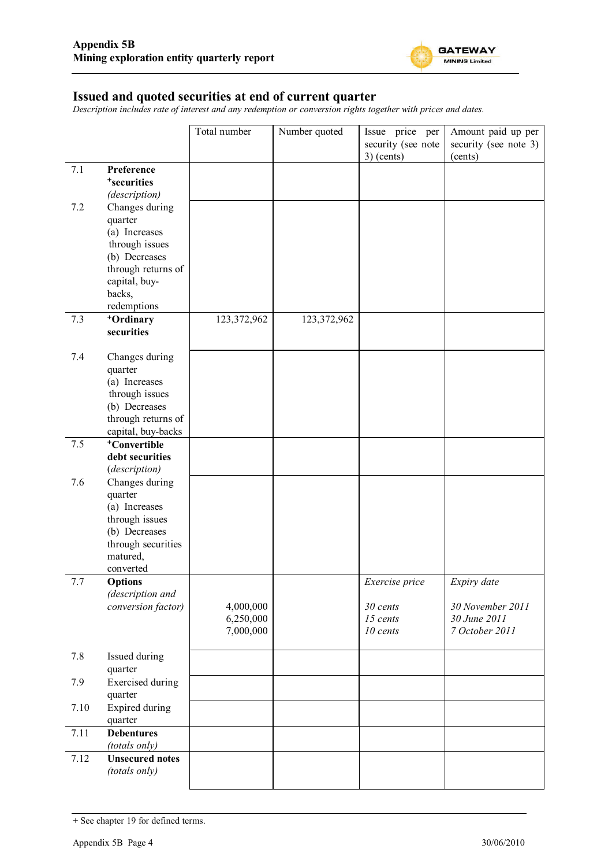

#### **Issued and quoted securities at end of current quarter**

*Description includes rate of interest and any redemption or conversion rights together with prices and dates.*

|      |                                         | Total number | Number quoted | Issue price per    | Amount paid up per    |
|------|-----------------------------------------|--------------|---------------|--------------------|-----------------------|
|      |                                         |              |               | security (see note | security (see note 3) |
| 7.1  | Preference                              |              |               | $3)$ (cents)       | (cents)               |
|      | <sup>+</sup> securities                 |              |               |                    |                       |
|      | (description)                           |              |               |                    |                       |
| 7.2  | Changes during                          |              |               |                    |                       |
|      | quarter                                 |              |               |                    |                       |
|      | (a) Increases<br>through issues         |              |               |                    |                       |
|      | (b) Decreases                           |              |               |                    |                       |
|      | through returns of                      |              |               |                    |                       |
|      | capital, buy-                           |              |               |                    |                       |
|      | backs,                                  |              |               |                    |                       |
|      | redemptions                             |              |               |                    |                       |
| 7.3  | <sup>+</sup> Ordinary<br>securities     | 123,372,962  | 123,372,962   |                    |                       |
|      |                                         |              |               |                    |                       |
| 7.4  | Changes during                          |              |               |                    |                       |
|      | quarter                                 |              |               |                    |                       |
|      | (a) Increases                           |              |               |                    |                       |
|      | through issues                          |              |               |                    |                       |
|      | (b) Decreases<br>through returns of     |              |               |                    |                       |
|      | capital, buy-backs                      |              |               |                    |                       |
| 7.5  | <sup>+</sup> Convertible                |              |               |                    |                       |
|      | debt securities                         |              |               |                    |                       |
|      | (description)                           |              |               |                    |                       |
| 7.6  | Changes during                          |              |               |                    |                       |
|      | quarter<br>(a) Increases                |              |               |                    |                       |
|      | through issues                          |              |               |                    |                       |
|      | (b) Decreases                           |              |               |                    |                       |
|      | through securities                      |              |               |                    |                       |
|      | matured,                                |              |               |                    |                       |
|      | converted                               |              |               |                    |                       |
| 7.7  | <b>Options</b><br>(description and      |              |               | Exercise price     | Expiry date           |
|      | conversion factor)                      | 4,000,000    |               | 30 cents           | 30 November 2011      |
|      |                                         | 6,250,000    |               | 15 cents           | 30 June 2011          |
|      |                                         | 7,000,000    |               | 10 cents           | 7 October 2011        |
|      | Issued during                           |              |               |                    |                       |
| 7.8  | quarter                                 |              |               |                    |                       |
| 7.9  | <b>Exercised</b> during                 |              |               |                    |                       |
|      | quarter                                 |              |               |                    |                       |
| 7.10 | Expired during                          |              |               |                    |                       |
|      | quarter                                 |              |               |                    |                       |
| 7.11 | <b>Debentures</b>                       |              |               |                    |                       |
| 7.12 | (totals only)<br><b>Unsecured notes</b> |              |               |                    |                       |
|      | (totals only)                           |              |               |                    |                       |
|      |                                         |              |               |                    |                       |

<sup>+</sup> See chapter 19 for defined terms.